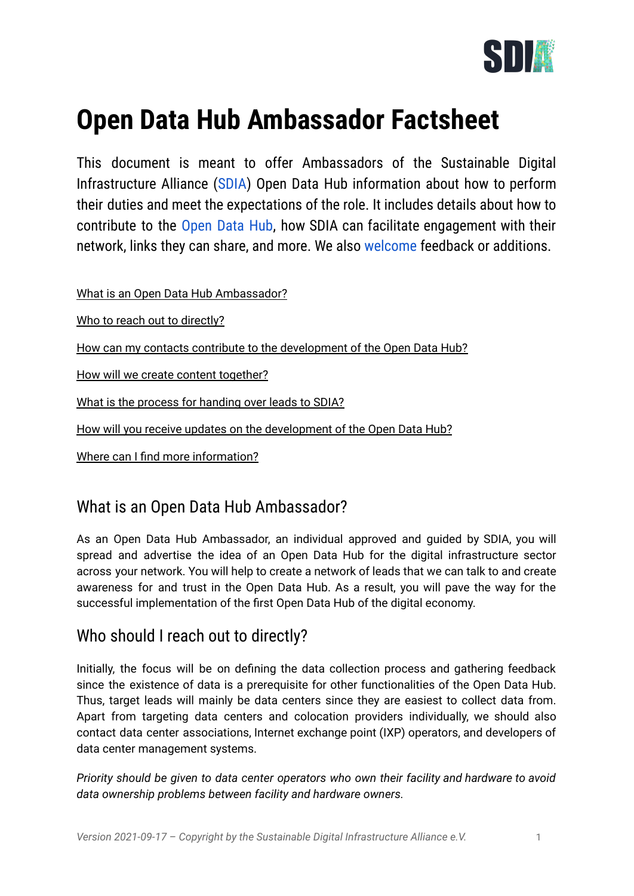

# **Open Data Hub Ambassador Factsheet**

This document is meant to offer Ambassadors of the Sustainable Digital Infrastructure Alliance ([SDIA\)](https://sdialliance.org) Open Data Hub information about how to perform their duties and meet the expectations of the role. It includes details about how to contribute to the [Open](https://blog.sdialliance.org/announcing-the-sdia-open-data-hub) Data Hub, how SDIA can facilitate engagement with their network, links they can share, and more. We also [welcome](mailto:julia.trzcinska@sdialliance.org) feedback or additions.

What is an Open Data Hub [Ambassador?](#page-0-0)

Who to reach out to [directly?](#page-0-1)

How can my contacts contribute to the [development](#page-1-0) of the Open Data Hub?

How will we create content [together?](#page-1-1)

What is the process for [handing](#page-2-0) over leads to SDIA?

How will you receive updates on the [development](#page-2-1) of the Open Data Hub?

Where can I find more [information?](#page-2-2)

#### <span id="page-0-0"></span>What is an Open Data Hub Ambassador?

As an Open Data Hub Ambassador, an individual approved and guided by SDIA, you will spread and advertise the idea of an Open Data Hub for the digital infrastructure sector across your network. You will help to create a network of leads that we can talk to and create awareness for and trust in the Open Data Hub. As a result, you will pave the way for the successful implementation of the first Open Data Hub of the digital economy.

#### <span id="page-0-1"></span>Who should I reach out to directly?

Initially, the focus will be on defining the data collection process and gathering feedback since the existence of data is a prerequisite for other functionalities of the Open Data Hub. Thus, target leads will mainly be data centers since they are easiest to collect data from. Apart from targeting data centers and colocation providers individually, we should also contact data center associations, Internet exchange point (IXP) operators, and developers of data center management systems.

*Priority should be given to data center operators who own their facility and hardware to avoid data ownership problems between facility and hardware owners.*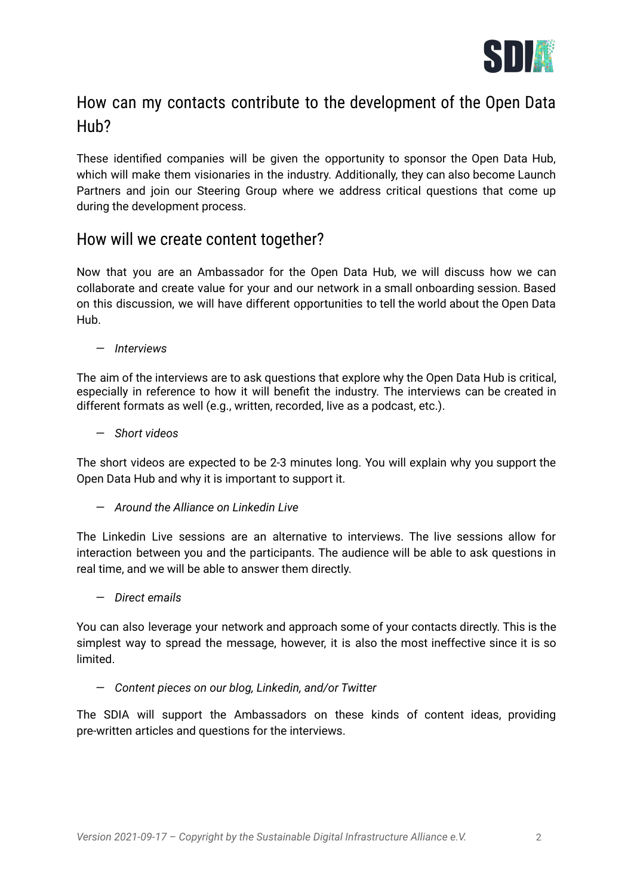

# <span id="page-1-0"></span>How can my contacts contribute to the development of the Open Data Hub?

These identified companies will be given the opportunity to sponsor the Open Data Hub, which will make them visionaries in the industry. Additionally, they can also become Launch Partners and join our Steering Group where we address critical questions that come up during the development process.

#### <span id="page-1-1"></span>How will we create content together?

Now that you are an Ambassador for the Open Data Hub, we will discuss how we can collaborate and create value for your and our network in a small onboarding session. Based on this discussion, we will have different opportunities to tell the world about the Open Data Hub.

— *Interviews*

The aim of the interviews are to ask questions that explore why the Open Data Hub is critical, especially in reference to how it will benefit the industry. The interviews can be created in different formats as well (e.g., written, recorded, live as a podcast, etc.).

— *Short videos*

The short videos are expected to be 2-3 minutes long. You will explain why you support the Open Data Hub and why it is important to support it.

— *Around the Alliance on Linkedin Live*

The Linkedin Live sessions are an alternative to interviews. The live sessions allow for interaction between you and the participants. The audience will be able to ask questions in real time, and we will be able to answer them directly.

— *Direct emails*

You can also leverage your network and approach some of your contacts directly. This is the simplest way to spread the message, however, it is also the most ineffective since it is so limited.

— *Content pieces on our blog, Linkedin, and/or Twitter*

The SDIA will support the Ambassadors on these kinds of content ideas, providing pre-written articles and questions for the interviews.